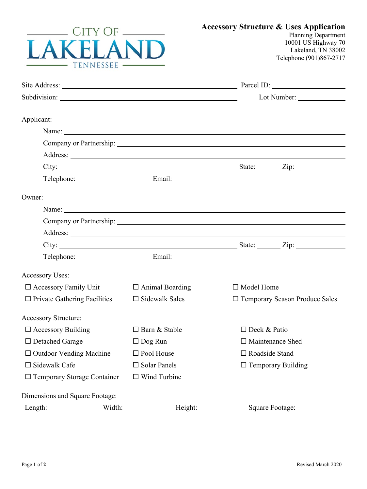

Planning Department 10001 US Highway 70 Lakeland, TN 38002 Telephone (901)867-2717

| Applicant:                          |                        |                                                                                                                 |
|-------------------------------------|------------------------|-----------------------------------------------------------------------------------------------------------------|
|                                     |                        |                                                                                                                 |
|                                     |                        | Company or Partnership: 2008 2010 2010 2010 2010 2010 2011 2012 2020 2021 2021 2021 2021 2021 2021 2021 2021 20 |
|                                     |                        |                                                                                                                 |
|                                     |                        |                                                                                                                 |
|                                     |                        |                                                                                                                 |
| Owner:                              |                        |                                                                                                                 |
|                                     |                        |                                                                                                                 |
|                                     |                        | Company or Partnership: Equation 2. The Company of Partnership:                                                 |
|                                     |                        |                                                                                                                 |
|                                     |                        |                                                                                                                 |
|                                     |                        | Telephone: Email: Email:                                                                                        |
| Accessory Uses:                     |                        |                                                                                                                 |
| $\Box$ Accessory Family Unit        | $\Box$ Animal Boarding | $\Box$ Model Home                                                                                               |
| $\Box$ Private Gathering Facilities | $\Box$ Sidewalk Sales  | □ Temporary Season Produce Sales                                                                                |
| <b>Accessory Structure:</b>         |                        |                                                                                                                 |
| $\Box$ Accessory Building           | $\Box$ Barn & Stable   | $\Box$ Deck & Patio                                                                                             |
| $\Box$ Detached Garage              | $\Box$ Dog Run         | $\Box$ Maintenance Shed                                                                                         |
| $\Box$ Outdoor Vending Machine      | $\Box$ Pool House      | □ Roadside Stand                                                                                                |
| $\square$ Sidewalk Cafe             | $\Box$ Solar Panels    | $\Box$ Temporary Building                                                                                       |
| $\Box$ Temporary Storage Container  | $\Box$ Wind Turbine    |                                                                                                                 |
| Dimensions and Square Footage:      |                        |                                                                                                                 |
| Length:                             | Width: $\qquad \qquad$ |                                                                                                                 |